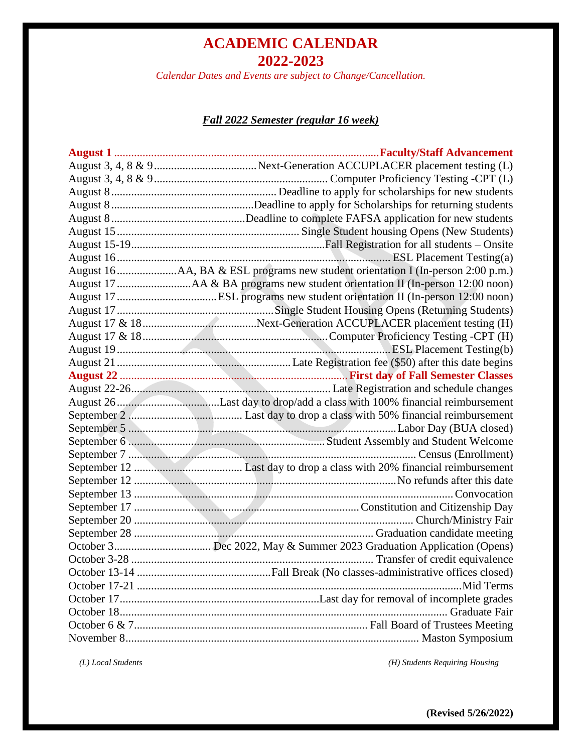*Calendar Dates and Events are subject to Change/Cancellation.*

### *Fall 2022 Semester (regular 16 week)*

 *(L) Local Students (H) Students Requiring Housing*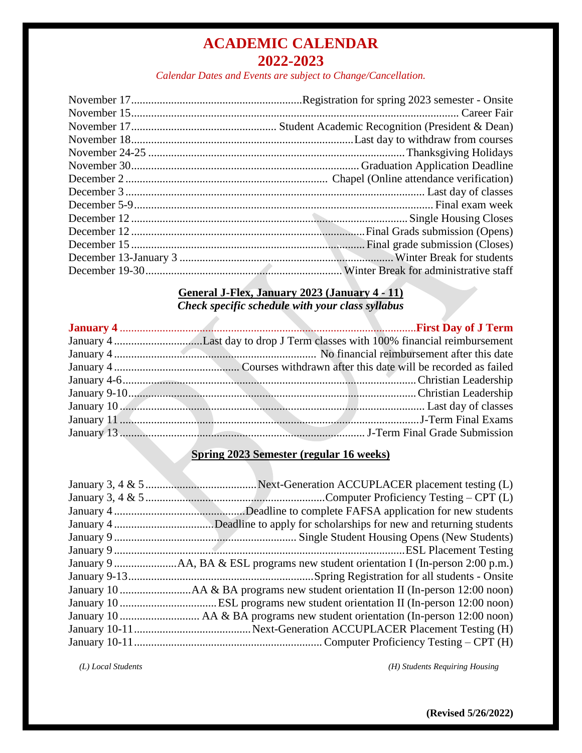*Calendar Dates and Events are subject to Change/Cancellation.*

#### **General J-Flex, January 2023 (January 4 - 11)** *Check specific schedule with your class syllabus*

A

| January 10 Manuary 10 Manuary 20 Manuary 10 Manuary 10 Manuary 10 Manuary 10 Manuary 10 Manuary 10 Manuary 10 Manuary 10 Manuary 10 Manuary 10 Manuary 10 Manuary 10 Manuary 10 Manuary 10 Manuary 10 Manuary 10 Manuary 10 Ma |
|--------------------------------------------------------------------------------------------------------------------------------------------------------------------------------------------------------------------------------|
|                                                                                                                                                                                                                                |
|                                                                                                                                                                                                                                |

## **Spring 2023 Semester (regular 16 weeks)**

 *(L) Local Students (H) Students Requiring Housing*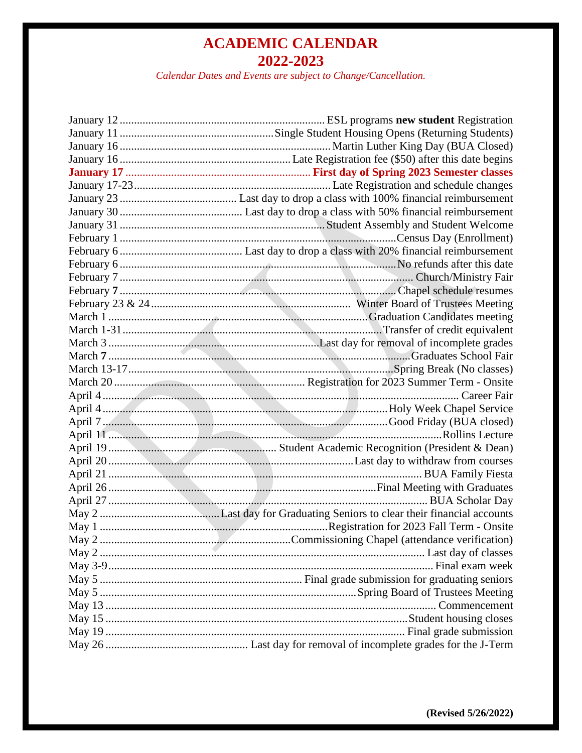*Calendar Dates and Events are subject to Change/Cancellation.*

| April 11 m. Collins Lecture |
|-----------------------------|
|                             |
|                             |
|                             |
|                             |
|                             |
|                             |
|                             |
|                             |
|                             |
|                             |
|                             |
|                             |
|                             |
|                             |
|                             |
|                             |